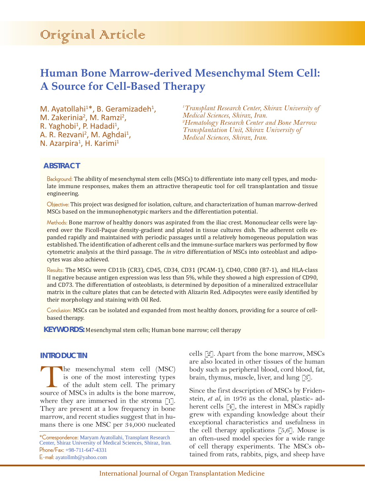# Original Article

## **Human Bone Marrow-derived Mesenchymal Stem Cell: A Source for Cell-Based Therapy**

M. Ayatollahi<sup>1\*</sup>, B. Geramizadeh<sup>1</sup>, M. Zakerinia<sup>2</sup>, M. Ramzi<sup>2</sup>, R. Yaghobi<sup>1</sup>, P. Hadadi<sup>1</sup>, A. R. Rezvani<sup>2</sup>, M. Aghdai<sup>1</sup>,<br>N. Azarpira<sup>1</sup>, H. Karimi<sup>1</sup> N. Azarpira<sup>1</sup>, H. Karimi<sup>1</sup>

*1 Transplant Research Center, Shiraz University of Medical Sciences, Shiraz, Iran. 2 Hematology Research Center and Bone Marrow Transplantation Unit, Shiraz University of Medical Sciences, Shiraz, Iran.*

## **ABSTRACT**

Background: The ability of mesenchymal stem cells (MSCs) to differentiate into many cell types, and modulate immune responses, makes them an attractive therapeutic tool for cell transplantation and tissue engineering.

Objective: This project was designed for isolation, culture, and characterization of human marrow-derived MSCs based on the immunophenotypic markers and the differentiation potential.

Methods: Bone marrow of healthy donors was aspirated from the iliac crest. Mononuclear cells were layered over the Ficoll-Paque density-gradient and plated in tissue cultures dish. The adherent cells expanded rapidly and maintained with periodic passages until a relatively homogeneous population was established. The identification of adherent cells and the immune-surface markers was performed by flow cytometric analysis at the third passage. The *in vitro* differentiation of MSCs into osteoblast and adipocytes was also achieved.

Results: The MSCs were CD11b (CR3), CD45, CD34, CD31 (PCAM-1), CD40, CD80 (B7-1), and HLA-class II negative because antigen expression was less than 5%, while they showed a high expression of CD90, and CD73. The differentiation of osteoblasts, is determined by deposition of a mineralized extracellular matrix in the culture plates that can be detected with Alizarin Red. Adipocytes were easily identified by their morphology and staining with Oil Red.

Conclusion: MSCs can be isolated and expanded from most healthy donors, providing for a source of cellbased therapy.

**KEYWORDS:** Mesenchymal stem cells; Human bone marrow; cell therapy

#### **INTRODUCTIN**

The mesenchymal stem cell (MSC) is one of the most interesting types of the adult stem cell. The primary source of MSCs in adults is the bone marrow is one of the most interesting types of the adult stem cell. The primary source of MSCs in adults is the bone marrow, where they are immersed in the stroma  $\lceil 1 \rceil$ . They are present at a low frequency in bone marrow, and recent studies suggest that in humans there is one MSC per 34,000 nucleated

\*Correspondence: Maryam Ayatollahi, Transplant Research Center, Shiraz University of Medical Sciences, Shiraz, Iran. Phone/Fax: +98-711-647-4331 E-mail: ayatollmb@yahoo.com

cells [2]. Apart from the bone marrow, MSCs are also located in other tissues of the human body such as peripheral blood, cord blood, fat, brain, thymus, muscle, liver, and lung [3].

Since the first description of MSCs by Fridenstein, *et al*, in 1976 as the clonal, plastic- adherent cells [4], the interest in MSCs rapidly grew with expanding knowledge about their exceptional characteristics and usefulness in the cell therapy applications  $[5,6]$ . Mouse is an often-used model species for a wide range of cell therapy experiments. The MSCs obtained from rats, rabbits, pigs, and sheep have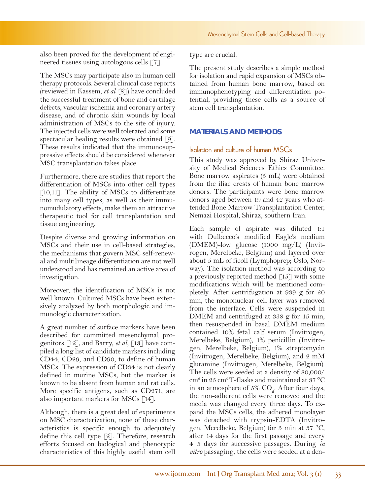also been proved for the development of engineered tissues using autologous cells [7].

The MSCs may participate also in human cell therapy protocols. Several clinical case reports (reviewed in Kassem, *et al* [8]) have concluded the successful treatment of bone and cartilage defects, vascular ischemia and coronary artery disease, and of chronic skin wounds by local administration of MSCs to the site of injury. The injected cells were well tolerated and some spectacular healing results were obtained [9]. These results indicated that the immunosuppressive effects should be considered whenever MSC transplantation takes place.

Furthermore, there are studies that report the differentiation of MSCs into other cell types [10,11]. The ability of MSCs to differentiate into many cell types, as well as their immunomudulatory effects, make them an attractive therapeutic tool for cell transplantation and tissue engineering.

Despite diverse and growing information on MSCs and their use in cell-based strategies, the mechanisms that govern MSC self-renewal and multilineage differentiation are not well understood and has remained an active area of investigation.

Moreover, the identification of MSCs is not well known. Cultured MSCs have been extensively analyzed by both morphologic and immunologic characterization.

A great number of surface markers have been described for committed mesenchymal progenitors [12], and Barry, *et al*, [13] have compiled a long list of candidate markers including CD44, CD29, and CD90, to define of human MSCs. The expression of CD34 is not clearly defined in murine MSCs, but the marker is known to be absent from human and rat cells. More specific antigens, such as CD271, are also important markers for MSCs [14].

Although, there is a great deal of experiments on MSC characterization, none of these characteristics is specific enough to adequately define this cell type [2]. Therefore, research efforts focused on biological and phenotypic characteristics of this highly useful stem cell

type are crucial.

The present study describes a simple method for isolation and rapid expansion of MSCs obtained from human bone marrow, based on immunophenotyping and differentiation potential, providing these cells as a source of stem cell transplantation.

## **MATERIALS AND METHODS**

## Isolation and culture of human MSCs

This study was approved by Shiraz University of Medical Sciences Ethics Committee. Bone marrow aspirates (5 mL) were obtained from the iliac crests of human bone marrow donors. The participants were bone marrow donors aged between 19 and 42 years who attended Bone Marrow Transplantation Center, Nemazi Hospital, Shiraz, southern Iran.

Each sample of aspirate was diluted 1:1 with Dulbecco's modified Eagle's medium (DMEM)-low glucose (1000 mg/L) (Invitrogen, Merelbeke, Belgium) and layered over about 5 mL of ficoll (Lymphoprep; Oslo, Norway). The isolation method was according to a previously reported method [15] with some modifications which will be mentioned completely. After centrifugation at 939 g for 20 min, the mononuclear cell layer was removed from the interface. Cells were suspended in DMEM and centrifuged at 338 g for 15 min, then resuspended in basal DMEM medium contained 10% fetal calf serum (Invitrogen, Merelbeke, Belgium), 1% penicillin (Invitrogen, Merelbeke, Belgium), 1% streptomycin (Invitrogen, Merelbeke, Belgium), and 2 mM glutamine (Invitrogen, Merelbeke, Belgium). The cells were seeded at a density of 80,000/ cm<sup>2</sup> in 25 cm<sup>2</sup> T-flasks and maintained at 37 °C in an atmosphere of  $5\%$  CO<sub>2</sub>. After four days, the non-adherent cells were removed and the media was changed every three days. To expand the MSCs cells, the adhered monolayer was detached with trypsin-EDTA (Invitrogen, Merelbeke, Belgium) for 5 min at 37 °C, after 14 days for the first passage and every 4–5 days for successive passages. During *in vitro* passaging, the cells were seeded at a den-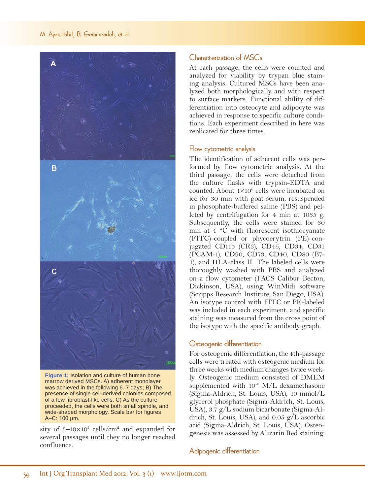#### M. Ayatollahi1, B. Geramizadeh, et al.



**Figure 1:** Isolation and culture of human bone marrow derived MSCs. A) adherent monolayer was achieved in the following 6–7 days; B) The presence of single cell-derived colonies composed of a few fibroblast-like cells; C) As the culture proceeded, the cells were both small spindle, and wide-shaped morphology. Scale bar for figures A–C: 100 μm.

sity of  $5-10\times10^{3}$  cells/cm<sup>2</sup> and expanded for several passages until they no longer reached confluence.

## Characterization of MSCs

At each passage, the cells were counted and analyzed for viability by trypan blue staining analysis. Cultured MSCs have been analyzed both morphologically and with respect to surface markers. Functional ability of differentiation into osteocyte and adipocyte was achieved in response to specific culture conditions. Each experiment described in here was replicated for three times.

## Flow cytometric analysis

The identification of adherent cells was performed by flow cytometric analysis. At the third passage, the cells were detached from the culture flasks with trypsin-EDTA and counted. About  $1 \times 10^6$  cells were incubated on ice for 30 min with goat serum, resuspended in phosophate-buffered saline (PBS) and pelleted by centrifugation for 4 min at 1035 g. Subsequently, the cells were stained for 30 min at 4 °C with fluorescent isothiocyanate (FITC)-coupled or phycoerytrin (PE)-conjugated CD11b (CR3), CD45, CD34, CD31 (PCAM-1), CD90, CD73, CD40, CD80 (B7- 1), and HLA-class II. The labeled cells were thoroughly washed with PBS and analyzed on a flow cytometer (FACS Calibur Becton, Dickinson, USA), using WinMidi software (Scripps Research Institute; San Diego, USA). An isotype control with FITC or PE-labeled was included in each experiment, and specific staining was measured from the cross point of the isotype with the specific antibody graph.

## Osteogenic differentiation

For osteogenic differentiation, the 4th-passage cells were treated with osteogenic medium for three weeks with medium changes twice weekly. Osteogenic medium consisted of DMEM supplemented with 10<sup>-8</sup> M/L dexamethasone (Sigma-Aldrich, St. Louis, USA), 10 mmol/L glycerol phosphate (Sigma-Aldrich, St. Louis, USA), 3.7 g/L sodium bicarbonate (Sigma-Aldrich, St. Louis, USA), and 0.05 g/L ascorbic acid (Sigma-Aldrich, St. Louis, USA). Osteogenesis was assessed by Alizarin Red staining.

Adipogenic differentiation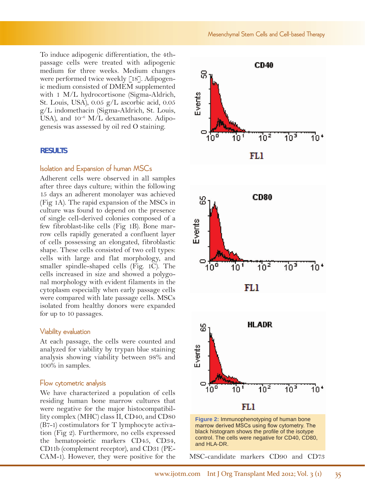To induce adipogenic differentiation, the 4thpassage cells were treated with adipogenic medium for three weeks. Medium changes were performed twice weekly [18]. Adipogenic medium consisted of DMEM supplemented with 1 M/L hydrocortisone (Sigma-Aldrich, St. Louis, USA), 0.05 g/L ascorbic acid, 0.05 g/L indomethacin (Sigma-Aldrich, St. Louis, USA), and 10<sup>-6</sup> M/L dexamethasone. Adipogenesis was assessed by oil red O staining.

#### **RESULTS**

#### Isolation and Expansion of human MSCs

Adherent cells were observed in all samples after three days culture; within the following 15 days an adherent monolayer was achieved (Fig 1A). The rapid expansion of the MSCs in culture was found to depend on the presence of single cell-derived colonies composed of a few fibroblast-like cells (Fig 1B). Bone marrow cells rapidly generated a confluent layer of cells possessing an elongated, fibroblastic shape. These cells consisted of two cell types: cells with large and flat morphology, and smaller spindle-shaped cells (Fig. 1C). The cells increased in size and showed a polygonal morphology with evident filaments in the cytoplasm especially when early passage cells were compared with late passage cells. MSCs isolated from healthy donors were expanded for up to 10 passages.

#### Viability evaluation

At each passage, the cells were counted and analyzed for viability by trypan blue staining analysis showing viability between 98% and 100% in samples.

#### Flow cytometric analysis

We have characterized a population of cells residing human bone marrow cultures that were negative for the major histocompatibillity complex (MHC) class II, CD40, and CD80 (B7-1) costimulators for T lymphocyte activation (Fig 2). Furthermore, no cells expressed the hematopoietic markers CD45, CD34, CD11b (complement receptor), and CD31 (PE-CAM-1). However, they were positive for the MSC-candidate markers CD90 and CD73





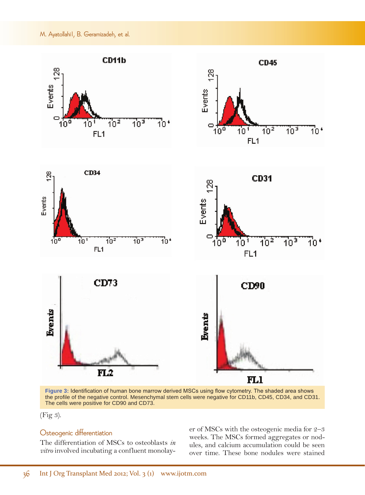#### M. Ayatollahi1, B. Geramizadeh, et al.



**Figure 3:** Identification of human bone marrow derived MSCs using flow cytometry. The shaded area shows the profile of the negative control. Mesenchymal stem cells were negative for CD11b, CD45, CD34, and CD31. The cells were positive for CD90 and CD73.

(Fig 3).

## Osteogenic differentiation

The differentiation of MSCs to osteoblasts *in vitro* involved incubating a confluent monolayer of MSCs with the osteogenic media for 2–3 weeks. The MSCs formed aggregates or nodules, and calcium accumulation could be seen over time. These bone nodules were stained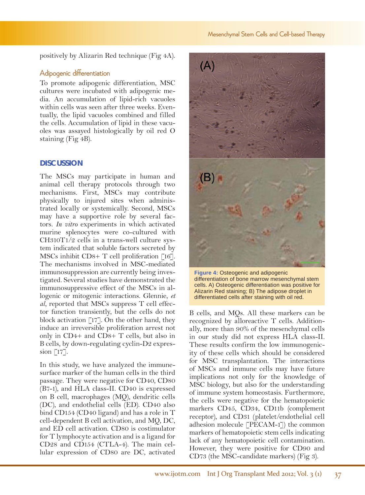positively by Alizarin Red technique (Fig 4A).

## Adipogenic differentiation

To promote adipogenic differentiation, MSC cultures were incubated with adipogenic media. An accumulation of lipid-rich vacuoles within cells was seen after three weeks. Eventually, the lipid vacuoles combined and filled the cells. Accumulation of lipid in these vacuoles was assayed histologically by oil red O staining (Fig 4B).

#### **DISCUSSION**

The MSCs may participate in human and animal cell therapy protocols through two mechanisms. First, MSCs may contribute physically to injured sites when administrated locally or systemically. Second, MSCs may have a supportive role by several factors. *In vitro* experiments in which activated murine splenocytes were co-cultured with CH310T1/2 cells in a trans-well culture system indicated that soluble factors secreted by MSCs inhibit CD8+ T cell proliferation [16]. The mechanisms involved in MSC-mediated immunosuppression are currently being investigated. Several studies have demonstrated the immunosuppressive effect of the MSCs in allogenic or mitogenic interactions. Glennie, *et al*, reported that MSCs suppress T cell effector function transiently, but the cells do not block activation [17]. On the other hand, they induce an irreversible proliferation arrest not only in CD4+ and CD8+ T cells, but also in B cells, by down-regulating cyclin-D2 expression [17].

In this study, we have analyzed the immunesurface marker of the human cells in the third passage. They were negative for CD40, CD80 (B7-1), and HLA class-II. CD40 is expressed on B cell, macrophages (MQ), dendritic cells (DC), and endothelial cells (ED). CD40 also bind CD154 (CD40 ligand) and has a role in T cell-dependent B cell activation, and MQ, DC, and ED cell activation. CD80 is costimulator for T lymphocyte activation and is a ligand for CD28 and CD154 (CTLA-4). The main cellular expression of CD80 are DC, activated



**Figure 4:** Osteogenic and adipogenic differentiation of bone marrow mesenchymal stem cells. A) Osteogenic differentiation was positive for Alizarin Red staining; B) The adipose droplet in differentiated cells after staining with oil red.

B cells, and MQs. All these markers can be recognized by alloreactive T cells. Additionally, more than 90% of the mesenchymal cells in our study did not express HLA class-II. These results confirm the low immunogenicity of these cells which should be considered for MSC transplantation. The interactions of MSCs and immune cells may have future implications not only for the knowledge of MSC biology, but also for the understanding of immune system homeostasis. Furthermore, the cells were negative for the hematopoietic markers CD45, CD34, CD11b (complement receptor), and CD31 (platelet/endothelial cell adhesion molecule [PECAM-1]) the common markers of hematopoietic stem cells indicating lack of any hematopoietic cell contamination. However, they were positive for CD90 and CD73 (the MSC-candidate markers) (Fig 3).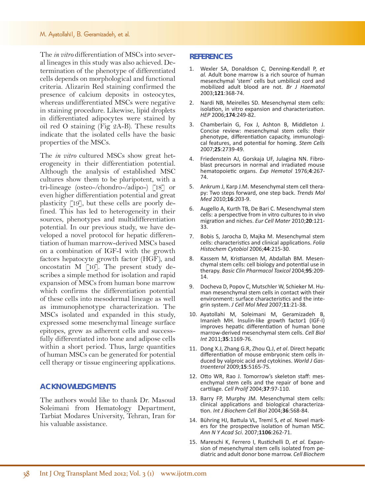#### M. Ayatollahi1, B. Geramizadeh, et al.

The *in vitro* differentiation of MSCs into several lineages in this study was also achieved. Determination of the phenotype of differentiated cells depends on morphological and functional criteria. Alizarin Red staining confirmed the presence of calcium deposits in osteocytes, whereas undifferentiated MSCs were negative in staining procedure. Likewise, lipid droplets in differentiated adipocytes were stained by oil red O staining (Fig 2A-B). These results indicate that the isolated cells have the basic properties of the MSCs.

The *in vitro* cultured MSCs show great heterogeneity in their differentiation potential. Although the analysis of established MSC cultures show them to be pluripotent, with a tri-lineage (osteo-/chondro-/adipo-) [18] or even higher differentiation potential and great plasticity [19], but these cells are poorly defined. This has led to heterogeneity in their sources, phenotypes and multidifferentiation potential. In our previous study, we have developed a novel protocol for hepatic differentiation of human marrow-derived MSCs based on a combination of IGF-I with the growth factors hepatocyte growth factor (HGF), and oncostatin M [10]. The present study describes a simple method for isolation and rapid expansion of MSCs from human bone marrow which confirms the differentiation potential of these cells into mesodermal lineage as well as immunophenotype characterization. The MSCs isolated and expanded in this study, expressed some mesenchymal lineage surface epitopes, grew as adherent cells and successfully differentiated into bone and adipose cells within a short period. Thus, large quantities of human MSCs can be generated for potential cell therapy or tissue engineering applications.

#### **ACKNOWLEDGMENTS**

The authors would like to thank Dr. Masoud Soleimani from Hematology Department, Tarbiat Modares University, Tehran, Iran for his valuable assistance.

#### **REFERENCES**

- 1. Wexler SA, Donaldson C, Denning-Kendall P, *et al.* Adult bone marrow is a rich source of human mesenchymal 'stem' cells but umbilical cord and mobilized adult blood are not. *Br J Haematol* 2003;**121**:368-74.
- 2. Nardi NB, Meirelles SD. Mesenchymal stem cells: isolation, in vitro expansion and characterization. *HEP* 2006;**174**:249-82.
- 3. Chamberlain G, Fox J, Ashton B, Middleton J. [Concise review: mesenchymal stem cells: their](http://www.ncbi.nlm.nih.gov/pubmed/17656645) [phenotype, differentiation capacity, immunologi](http://www.ncbi.nlm.nih.gov/pubmed/17656645)- [cal features, and potential for homing.](http://www.ncbi.nlm.nih.gov/pubmed/17656645) *Stem Cells* 2007;**25**:2739-49.
- 4. Friedenstein AJ, Gorskaja UF, Julagina NN. Fibroblast precursors in normal and irradiated mouse hematopoietic organs. *Exp Hematol* 1976;**4**:267- 74.
- 5. Ankrum J, Karp J.M. Mesenchymal stem cell therapy: Two steps forward, one step back. *Trends Mol Med* 2010;**16**:203-9.
- 6. Augello A, Kurth TB, De Bari C. [Mesenchymal stem](http://www.ncbi.nlm.nih.gov/pubmed/21249629) [cells: a perspective from in vitro cultures to in vivo](http://www.ncbi.nlm.nih.gov/pubmed/21249629) [migration and niches.](http://www.ncbi.nlm.nih.gov/pubmed/21249629) *Eur Cell Mater* 2010;**20**:121- 33.
- 7. [Bobis S,](http://www.ncbi.nlm.nih.gov/pubmed?term=%22Bobis S%22%5BAuthor%5D) [Jarocha D](http://www.ncbi.nlm.nih.gov/pubmed?term=%22Jarocha D%22%5BAuthor%5D), [Majka M.](http://www.ncbi.nlm.nih.gov/pubmed?term=%22Majka M%22%5BAuthor%5D) Mesenchymal stem cells: characteristics and clinical applications. *[Folia](http://www.ncbi.nlm.nih.gov/pubmed?term=Bobis S%2C2006) [Histochem Cytobiol](http://www.ncbi.nlm.nih.gov/pubmed?term=Bobis S%2C2006)* 2006;**44**:215-30.
- 8. Kassem M, Kristiansen M, Abdallah BM. Mesenchymal stem cells: cell biology and potential use in therapy. *Basic Clin Pharmacol Toxicol* 2004;**95**:209- 14.
- 9. [Docheva D,](http://www.ncbi.nlm.nih.gov/pubmed?term=%22Docheva D%22%5BAuthor%5D) [Popov C,](http://www.ncbi.nlm.nih.gov/pubmed?term=%22Popov C%22%5BAuthor%5D) [Mutschler W](http://www.ncbi.nlm.nih.gov/pubmed?term=%22Mutschler W%22%5BAuthor%5D), [Schieker M](http://www.ncbi.nlm.nih.gov/pubmed?term=%22Schieker M%22%5BAuthor%5D). Human mesenchymal stem cells in contact with their environment: surface characteristics and the integrin system. *[J Cell Mol Med](http://www.ncbi.nlm.nih.gov/pubmed/17367499)* 2007;**11**:21-38.
- 10. Ayatollahi M, Soleimani M, Geramizadeh B, Imanieh MH. [Insulin-like growth factor1 \(IGF-I\)](http://www.ncbi.nlm.nih.gov/pubmed/21910691) [improves hepatic differentiation of human bone](http://www.ncbi.nlm.nih.gov/pubmed/21910691) [marrow-derived mesenchymal stem cells.](http://www.ncbi.nlm.nih.gov/pubmed/21910691) *Cell Biol Int* 2011;**35**:1169-76.
- 11. Dong X.J, Zhang G.R, Zhou Q.J, *et al*. Direct hepatic differentiation of mouse embryonic stem cells induced by valproic acid and cytokines. *World J Gastroenterol* 2009;**15**:5165-75.
- 12. Otto WR, Rao J. Tomorrow's skeleton staff: mesenchymal stem cells and the repair of bone and cartilage. *Cell Prolif* 2004;**37**:97-110.
- 13. Barry FP, Murphy JM. Mesenchymal stem cells: clinical applications and biological characterization. *Int J Biochem Cell Biol* 2004;**36**:568-84.
- 14. [Bühring HJ,](http://www.ncbi.nlm.nih.gov/pubmed?term=%22B%C3%BChring HJ%22%5BAuthor%5D) [Battula VL](http://www.ncbi.nlm.nih.gov/pubmed?term=%22Battula VL%22%5BAuthor%5D), [Treml S](http://www.ncbi.nlm.nih.gov/pubmed?term=%22Treml S%22%5BAuthor%5D), *et al.* Novel markers for the prospective isolation of human MSC. *[Ann N Y Acad Sci](http://www.ncbi.nlm.nih.gov/pubmed/17395729)*. 2007;**1106**:262-71.
- 15. Mareschi K, Ferrero I, Rustichelli D, *et al.* Expansion of mesenchymal stem cells isolated from pe- diatric and adult donor bone marrow. *Cell Biochem*